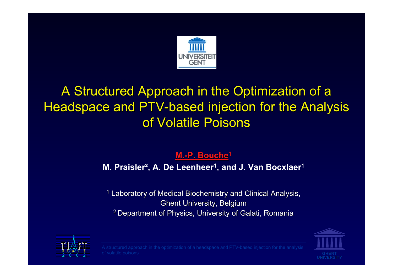

## A Structured Approach in the Optimization of a Headspace and PTV-based injection for the Analysis of Volatile Poisons

### **M. -P. Bouche1**

### **M. Praisler², A. De Leenheer1, and J. Van Bocxlaer1**

 $1$  Laboratory of Medical Biochemistry and Clinical Analysis, Ghent University, Belgium <sup>2</sup> Department of Physics, University of Galati, Romania



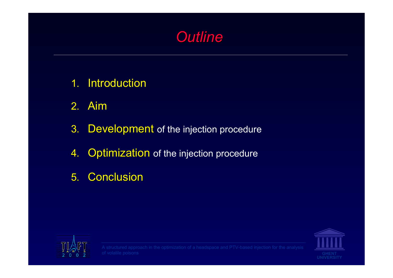

- 1.**Introduction**
- 2. Aim
- 3.Development of the injection procedure
- 4.Optimization of the injection procedure
- 5. Conclusion



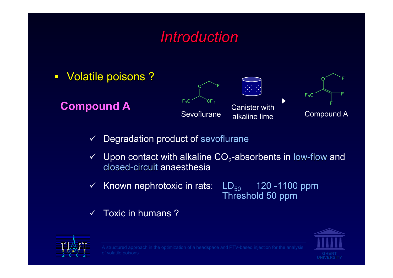# *Introduction Introduction*



- $\checkmark$ Degradation product of sevoflurane
- $\checkmark$  $\checkmark$  Upon contact with alkaline CO<sub>2</sub>-absorbents in low-flow and closed-circuit anaesthesia
- $\checkmark$ Known nephrotoxic in rats:  $LD_{50}$  120 -1100 ppm Threshold 50 ppm
- $\checkmark$ Toxic in humans ?



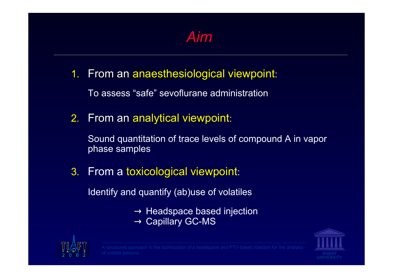# *Aim*

1. From an anaesthesiological viewpoint:

To assess "safe" sevoflurane administration

2.From an analytical viewpoint:

> Sound quantitation of trace levels of compound A in vapor phase samples

3.From a toxicological viewpoint:

Identify and quantify (ab)use of volatiles

 $\rightarrow$  Headspace based injection  $\rightarrow$  Capillary GC-MS



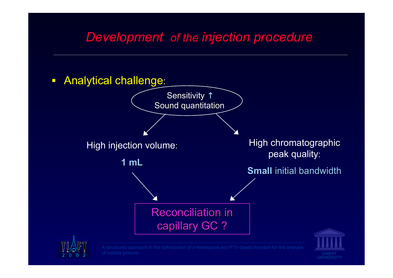### *Development of the injection procedure*



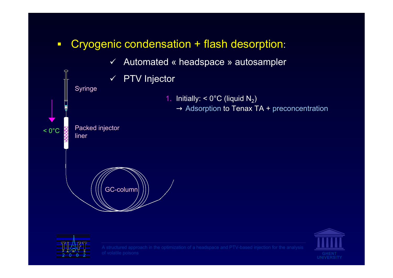- $\overline{\phantom{0}}$ Cryogenic condensation + flash desorption:
	- $\checkmark$ Automated « headspace » autosampler
	- $\checkmark$  PTV Injector
		- 1. Initially: < 0°C (liquid  $N_2$ )  $\rightarrow$  Adsorption to Tenax TA + preconcentration

Packed injector liner

Syringe

 $< 0^{\circ}$ C





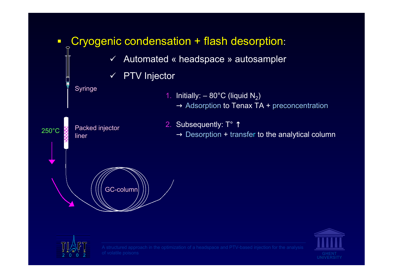



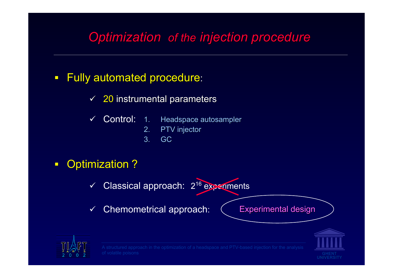## *Optimization Optimization of the injection procedure injection procedure*

### $\blacksquare$ Fully automated procedure:

- $\checkmark$ 20 instrumental parameters
- $\checkmark$  Control: 1.Headspace autosampler
	- 2.PTV injector
	- 3.GC

### $\Box$ • Optimization?

- $\checkmark$ **✓** Classical approach: 2<sup>16</sup> experiments
- $\checkmark$ **Chemometrical approach:**

Experimental design



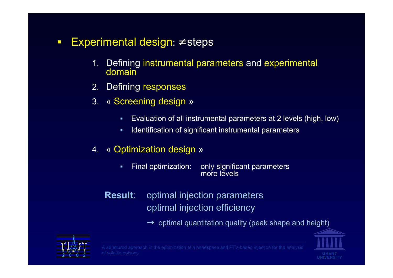- $\Box$ Experimental design:  $\neq$  steps
	- 1.Defining instrumental parameters and experimental domain
	- 2.Defining responses
	- 3. « Screening design »
		- $\blacksquare$ Evaluation of all instrumental par ameters at 2 levels (high, low)
		- $\blacksquare$ **IDENT** Identification of significant instrumental parameters
	- 4.« Optimization design »
		- $\blacksquare$  Final optimization: only significant parameters more levels
		- **Result:** optimal injection parameters optimal injection efficiency

 $\rightarrow$  optimal quantitation quality (peak shape and height)



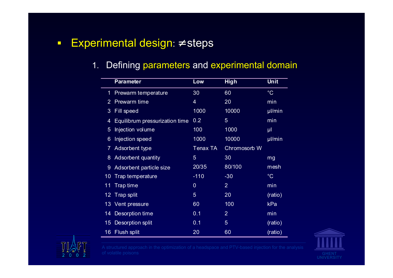### $\overline{\phantom{0}}$ Experimental design: ≠ steps

#### 1.Defining parameters and experimental domain

|                | <b>Parameter</b>               | Low            | <b>High</b>    | Unit        |
|----------------|--------------------------------|----------------|----------------|-------------|
| 1              | Prewarm temperature            | 30             | 60             | $^{\circ}C$ |
| $\overline{2}$ | Prewarm time                   | 4              | 20             | min         |
| 3              | Fill speed                     | 1000           | 10000          | µl/min      |
| 4              | Equilibrum pressurization time | 0.2            | 5              | min         |
| 5              | Injection volume               | 100            | 1000           | $\mu$       |
| 6              | Injection speed                | 1000           | 10000          | µl/min      |
| $\overline{7}$ | Adsorbent type                 | Tenax TA       | Chromosorb W   |             |
| 8              | <b>Adsorbent quantity</b>      | 5              | 30             | mg          |
| 9              | Adsorbent particle size        | 20/35          | 80/100         | mesh        |
| 10             | Trap temperature               | $-110$         | $-30$          | $^{\circ}C$ |
| 11             | <b>Trap time</b>               | $\overline{0}$ | $\overline{2}$ | min         |
|                | 12 Trap split                  | 5              | 20             | (ratio)     |
| 13             | Vent pressure                  | 60             | 100            | kPa         |
| 14             | Desorption time                | 0.1            | $\overline{2}$ | min         |
| 15             | <b>Desorption split</b>        | 0.1            | 5              | (ratio)     |
|                | 16 Flush split                 | 20             | 60             | (ratio)     |



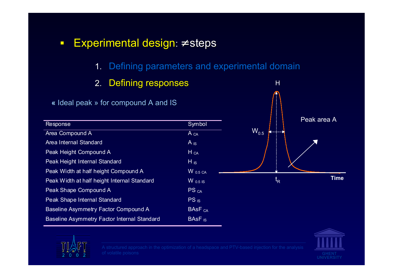- $\Box$ Experimental design:  $\neq$  steps
	- 1. Defining parameters and experimental domain

H

- 2.**Defining responses**
- « Ideal peak » for compound A and IS  $W_{0.5}$  $\mathfrak{t}_{\mathsf{R}}$  **Time** Peak area ARespons e Source of the Source of the Source of the Source of the Source of the Source of the Source of the Source of y mb ol Area Compound A  ${\sf A}$  ca Area Internal StandardA  $_{\rm IS}$ Peak H eight C o mpound A  $H_{\rm CA}$ Pe a k Heig ht I ntern al Standard  $\mathsf{H}\;_{\mathsf{IS}}$ Peak Width at h alf h eight C o m pound A  $\rm W$  0.5 ca Peak Width at half heig ht I nternal StandardW 0.5 ISP e a k S hape C o m pound A  $\mathsf{PS}\rm_{\mathsf{CA}}$ Peak Shape I ntern al Standar d  $\mathsf{PS}_{\mathsf{IS}}$ Baseline Asy mmetry F actor Compound A BAsF  $_{\mathsf{CA}}$ Baseline Asymmetry Factor Internal Standard  $\mathsf{BAsF}\vert_{\mathsf{IS}}$



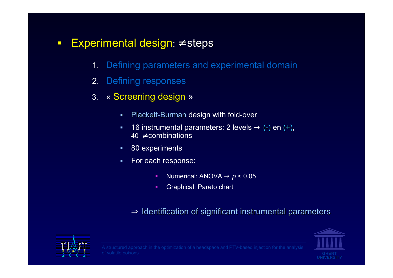- $\overline{\phantom{0}}$ Experimental design: ≠ steps
	- 1.Defining parameters and experimental domain
	- 2.Defining responses
	- 3.« Screening design »
		- $\blacksquare$ Plack ett-Burman design with fold-over
		- $\blacksquare$ ■ 16 instrumental parameters: 2 levels  $\rightarrow$  (-) en (+), 40 ≠ combinations
		- $\blacksquare$ 80 experiments
		- $\blacksquare$  For each response:
			- ٠ ■ Numerical: ANOVA  $\rightarrow$   $p$  < 0.05
			- ٠ Graphical: Pareto chart

### $\Rightarrow$  Identification of significant instrumental parameters



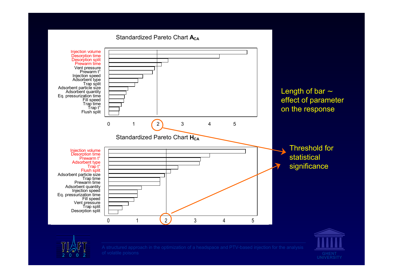





of volatile poisons **GHENT**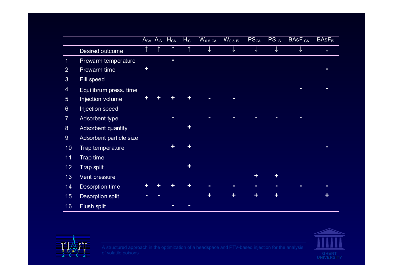|                |                         |   | $A_{CA}$ $A_{IS}$ | <b>H<sub>CA</sub></b> | $H_{\text{IS}}$ | $\mathsf{W}_{\mathsf{0.5\ CA}}$ | $W_{0.5}$ is | PS <sub>CA</sub> | $PS$ <sub>IS</sub> | BASF <sub>CA</sub> | $BASF_{IS}$ |
|----------------|-------------------------|---|-------------------|-----------------------|-----------------|---------------------------------|--------------|------------------|--------------------|--------------------|-------------|
|                | Desired outcome         | ↑ |                   |                       | ↑               |                                 |              |                  |                    |                    |             |
| $\blacksquare$ | Prewarm temperature     |   |                   | ۰                     |                 |                                 |              |                  |                    |                    |             |
| $\overline{2}$ | Prewarm time            |   |                   |                       |                 |                                 |              |                  |                    |                    |             |
| $\mathfrak{S}$ | Fill speed              |   |                   |                       |                 |                                 |              |                  |                    |                    |             |
| $\overline{4}$ | Equilibrum press. time  |   |                   |                       |                 |                                 |              |                  |                    |                    |             |
| 5 <sup>5</sup> | Injection volume        |   |                   |                       |                 |                                 |              |                  |                    |                    |             |
| $6\phantom{a}$ | Injection speed         |   |                   |                       |                 |                                 |              |                  |                    |                    |             |
| $\overline{7}$ | Adsorbent type          |   |                   |                       |                 |                                 |              |                  |                    |                    |             |
| 8              | Adsorbent quantity      |   |                   |                       |                 |                                 |              |                  |                    |                    |             |
| $9\phantom{.}$ | Adsorbent particle size |   |                   |                       |                 |                                 |              |                  |                    |                    |             |
| 10             | Trap temperature        |   |                   |                       |                 |                                 |              |                  |                    |                    |             |
| 11             | Trap time               |   |                   |                       |                 |                                 |              |                  |                    |                    |             |
| 12             | Trap split              |   |                   |                       |                 |                                 |              |                  |                    |                    |             |
| 13             | Vent pressure           |   |                   |                       |                 |                                 |              |                  |                    |                    |             |
| 14             | Desorption time         |   |                   |                       |                 |                                 |              |                  |                    |                    |             |
| 15             | Desorption split        |   |                   |                       |                 |                                 |              |                  |                    |                    |             |
| 16             | Flush split             |   |                   |                       |                 |                                 |              |                  |                    |                    |             |



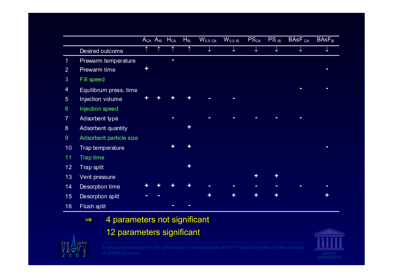|                |                         | $A_{CA}$ $A_{IS}$ | <b>H<sub>CA</sub></b> | $H_{IS}$ | $W_{0.5\,CA}$ | $W_{0.5}$ is | PS <sub>CA</sub> | PS <sub>IS</sub> | <b>BASF</b> <sub>CA</sub> | <b>BAsF<sub>IS</sub></b> |
|----------------|-------------------------|-------------------|-----------------------|----------|---------------|--------------|------------------|------------------|---------------------------|--------------------------|
|                | Desired outcome         | ↑                 |                       |          | ↓             | $\downarrow$ | ↓                | ↓                | ↓                         |                          |
| $\overline{1}$ | Prewarm temperature     |                   | -                     |          |               |              |                  |                  |                           |                          |
| $\overline{2}$ | Prewarm time            |                   |                       |          |               |              |                  |                  |                           |                          |
| $\mathbf{3}$   | Fill speed              |                   |                       |          |               |              |                  |                  |                           |                          |
| $\overline{4}$ | Equilibrum press. time  |                   |                       |          |               |              |                  |                  |                           |                          |
| $5\phantom{.}$ | Injection volume        |                   |                       |          |               |              |                  |                  |                           |                          |
| $6\phantom{a}$ | Injection speed         |                   |                       |          |               |              |                  |                  |                           |                          |
| $\overline{7}$ | Adsorbent type          |                   |                       |          |               |              |                  |                  |                           |                          |
| 8              | Adsorbent quantity      |                   |                       |          |               |              |                  |                  |                           |                          |
| 9              | Adsorbent particle size |                   |                       |          |               |              |                  |                  |                           |                          |
| 10             | Trap temperature        |                   |                       |          |               |              |                  |                  |                           |                          |
| 11             | Trap time               |                   |                       |          |               |              |                  |                  |                           |                          |
| 12             | Trap split              |                   |                       |          |               |              |                  |                  |                           |                          |
| 13             | Vent pressure           |                   |                       |          |               |              |                  |                  |                           |                          |
| 14             | Desorption time         |                   |                       |          |               |              |                  |                  |                           |                          |
| 15             | Desorption split        |                   |                       |          |               |              |                  |                  |                           |                          |
| 16             | Flush split             |                   |                       |          |               |              |                  |                  |                           |                          |

- ⇒4 parameters not significant
	- 12 parameters significant



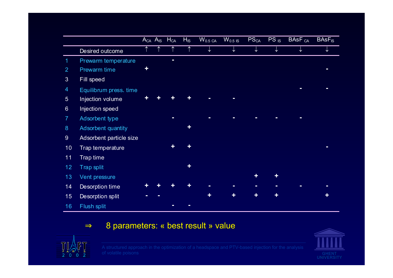|                  |                         |   | $A_{CA}$ $A_{IS}$ | H <sub>CA</sub> | H <sub>is</sub> | $W_{0.5\,CA}$ | $W0.5$ is | PS <sub>CA</sub> | $PS$ <sub>IS</sub> | <b>BASF</b> <sub>CA</sub> | $BASF_{IS}$ |
|------------------|-------------------------|---|-------------------|-----------------|-----------------|---------------|-----------|------------------|--------------------|---------------------------|-------------|
|                  | Desired outcome         | ↑ |                   |                 | ↑               | ↓             | ↓         |                  |                    |                           |             |
| $\mathbf{1}$     | Prewarm temperature     |   |                   |                 |                 |               |           |                  |                    |                           |             |
| $\overline{2}$   | Prewarm time            |   |                   |                 |                 |               |           |                  |                    |                           |             |
| $\mathfrak{B}$   | Fill speed              |   |                   |                 |                 |               |           |                  |                    |                           |             |
| $\overline{4}$   | Equilibrum press. time  |   |                   |                 |                 |               |           |                  |                    |                           |             |
| $5\phantom{.}$   | Injection volume        |   |                   |                 |                 |               |           |                  |                    |                           |             |
| $6\phantom{1}$   | Injection speed         |   |                   |                 |                 |               |           |                  |                    |                           |             |
| $\overline{7}$   | Adsorbent type          |   |                   |                 |                 |               |           |                  |                    |                           |             |
| $\boldsymbol{8}$ | Adsorbent quantity      |   |                   |                 |                 |               |           |                  |                    |                           |             |
| 9                | Adsorbent particle size |   |                   |                 |                 |               |           |                  |                    |                           |             |
| 10               | Trap temperature        |   |                   |                 |                 |               |           |                  |                    |                           |             |
| 11               | Trap time               |   |                   |                 |                 |               |           |                  |                    |                           |             |
| 12               | Trap split              |   |                   |                 |                 |               |           |                  |                    |                           |             |
| 13               | Vent pressure           |   |                   |                 |                 |               |           |                  |                    |                           |             |
| 14               | Desorption time         |   |                   |                 |                 |               |           |                  |                    |                           |             |
| 15               | <b>Desorption split</b> |   |                   |                 |                 |               |           |                  |                    |                           |             |
| 16               | Flush split             |   |                   |                 |                 |               |           |                  |                    |                           |             |

#### ⇒ $\Rightarrow$   $\quad$  8 parameters: « best result » value



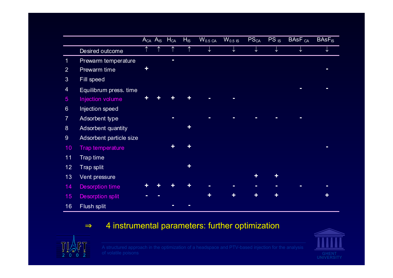|                  |                         | $\overline{A_{CA}}$ $\overline{A}_{IS}$ | <b>H<sub>CA</sub></b> | $H_{IS}$ | $W_{0.5\,CA}$ | $W_{0.5}$ is | <b>PS<sub>CA</sub></b> | $PS$ <sub>IS</sub> | <b>BASF</b> <sub>CA</sub> | $BASF_{IS}$ |
|------------------|-------------------------|-----------------------------------------|-----------------------|----------|---------------|--------------|------------------------|--------------------|---------------------------|-------------|
|                  | Desired outcome         | ↑                                       |                       | ↑        | ↓             | ↓            | ↓                      |                    |                           |             |
| $\overline{1}$   | Prewarm temperature     |                                         | -                     |          |               |              |                        |                    |                           |             |
| $\overline{2}$   | Prewarm time            |                                         |                       |          |               |              |                        |                    |                           |             |
| $\mathfrak{S}$   | Fill speed              |                                         |                       |          |               |              |                        |                    |                           |             |
| $\overline{4}$   | Equilibrum press. time  |                                         |                       |          |               |              |                        |                    |                           |             |
| $\overline{5}$   | Injection volume        |                                         |                       |          |               |              |                        |                    |                           |             |
| $6\phantom{a}$   | Injection speed         |                                         |                       |          |               |              |                        |                    |                           |             |
| $\overline{7}$   | Adsorbent type          |                                         |                       |          |               |              |                        |                    |                           |             |
| $\boldsymbol{8}$ | Adsorbent quantity      |                                         |                       |          |               |              |                        |                    |                           |             |
| 9 <sup>°</sup>   | Adsorbent particle size |                                         |                       |          |               |              |                        |                    |                           |             |
| 10               | Trap temperature        |                                         |                       |          |               |              |                        |                    |                           |             |
| 11               | Trap time               |                                         |                       |          |               |              |                        |                    |                           |             |
| 12               | Trap split              |                                         |                       |          |               |              |                        |                    |                           |             |
| 13               | Vent pressure           |                                         |                       |          |               |              |                        |                    |                           |             |
| 14               | <b>Desorption time</b>  |                                         |                       |          |               |              |                        |                    |                           |             |
| 15               | <b>Desorption split</b> |                                         |                       |          |               |              |                        |                    |                           |             |
| 16               | Flush split             |                                         |                       |          |               |              |                        |                    |                           |             |

#### ⇒4 instrumental parameters: further optimization 4 instrumental parameters: further optimization



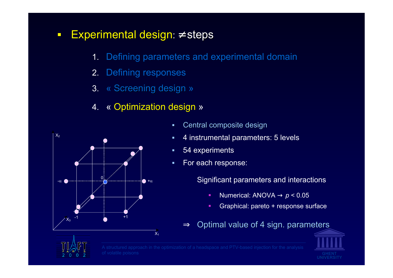- $\overline{\phantom{0}}$ Experimental design:  $\neq$  steps
	- 1.Defining parameters and experimental domain
	- 2.Defining responses
	- 3. « Screening design »
	- 4. « Optimization design »



- L Central composite design
- $\blacksquare$ 4 instrumental parameters: 5 levels
- L 54 experiments
- $\blacksquare$ For each response:

Significant parameters and interactions

- $\blacksquare$ ■ Numerical: ANOVA  $\rightarrow$   $p$  < 0.05
- $\blacksquare$ ■ Graphical: pareto + response surface

⇒Optimal value of 4 sign. parameters



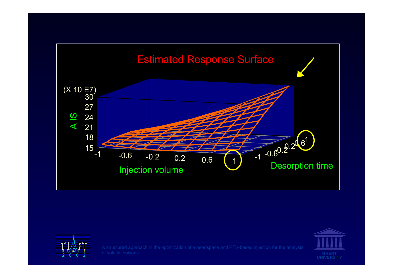



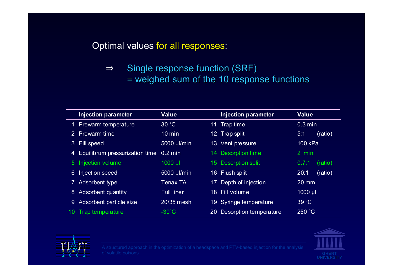Optimal values for all responses:

⇒Single response function (SRF) = weighed sum of the 10 response functions = weighed sum of the 10 response functions

|                      | <b>Injection parameter</b>     | <b>Value</b>      |     | <b>Injection parameter</b> | <b>Value</b>      |         |
|----------------------|--------------------------------|-------------------|-----|----------------------------|-------------------|---------|
|                      | Prewarm temperature            | 30 °C             |     | 11 Trap time               | $0.3 \text{ min}$ |         |
| $\mathbf{2}^{\circ}$ | Prewarm time                   | $10$ min          |     | 12 Trap split              | 5:1               | (ratio) |
| 3                    | Fill speed                     | 5000 µl/min       | 13  | Vent pressure              | 100 kPa           |         |
| 4                    | Equilibrum pressurization time | $0.2$ min         | 14. | Desorption time            | 2 min             |         |
| 5.                   | Injection volume               | 1000 µl           |     | 15 Desorption split        | 0.7:1             | (ratio) |
| 6                    | Injection speed                | 5000 µl/min       | 16. | Flush split                | 20:1              | (ratio) |
|                      | Adsorbent type                 | <b>Tenax TA</b>   | 17  | Depth of injection         | $20 \text{ mm}$   |         |
| 8                    | <b>Adsorbent quantity</b>      | <b>Full liner</b> | 18  | Fill volume                | $1000$ $\mu$      |         |
| 9                    | Adsorbent particle size        | 20/35 mesh        |     | 19 Syringe temperature     | 39 °C             |         |
| 10                   | Trap temperature               | $-30^{\circ}$ C   | 20  | Desorption temperature     | 250 °C            |         |